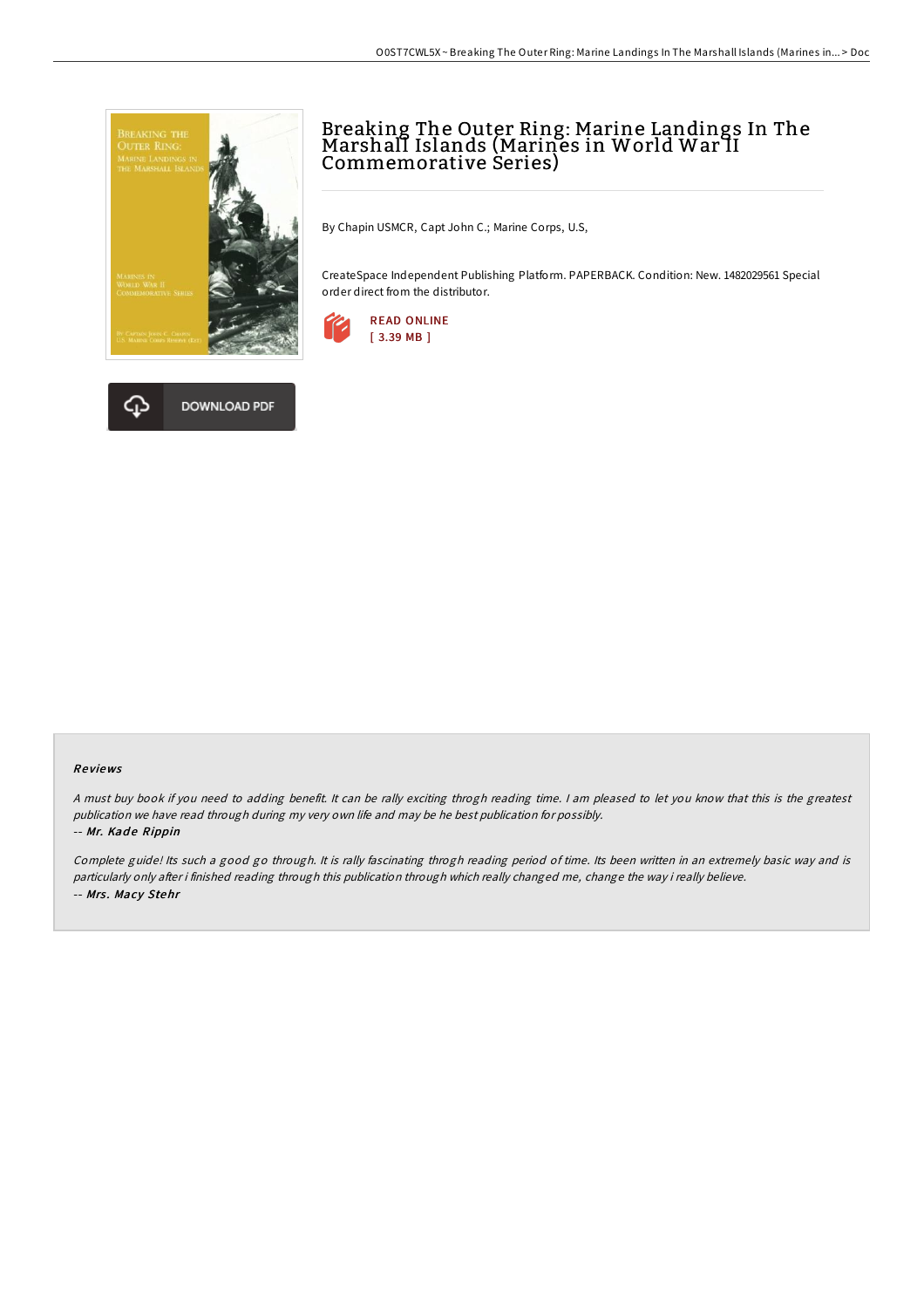



# Breaking The Outer Ring: Marine Landings In The Marshall Islands (Marines in World War II Commemorative Series)

By Chapin USMCR, Capt John C.; Marine Corps, U.S,

CreateSpace Independent Publishing Platform. PAPERBACK. Condition: New. 1482029561 Special order direct from the distributor.



#### Re views

<sup>A</sup> must buy book if you need to adding benefit. It can be rally exciting throgh reading time. <sup>I</sup> am pleased to let you know that this is the greatest publication we have read through during my very own life and may be he best publication for possibly.

### -- Mr. Kade Rippin

Complete guide! Its such <sup>a</sup> good go through. It is rally fascinating throgh reading period of time. Its been written in an extremely basic way and is particularly only after i finished reading through this publication through which really changed me, change the way i really believe. -- Mrs. Macy Stehr